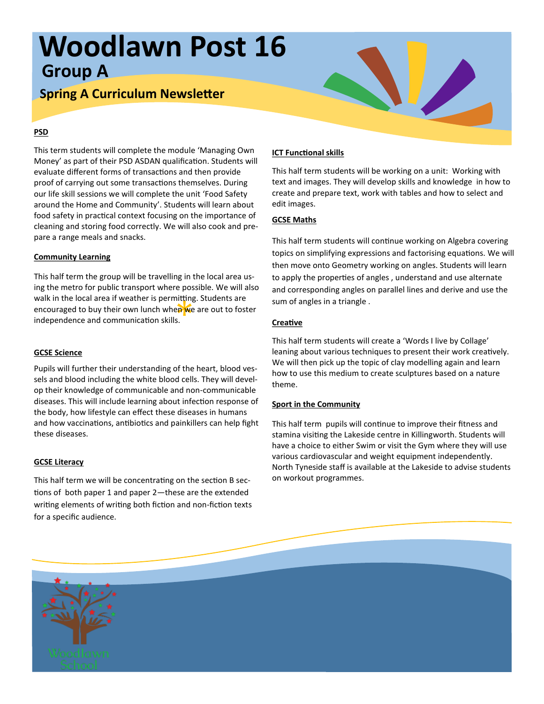# **Woodlawn Post 16 Group A**

## **Spring A Curriculum Newsletter**

### **PSD**

This term students will complete the module 'Managing Own Money' as part of their PSD ASDAN qualification. Students will evaluate different forms of transactions and then provide proof of carrying out some transactions themselves. During our life skill sessions we will complete the unit 'Food Safety around the Home and Community'. Students will learn about food safety in practical context focusing on the importance of cleaning and storing food correctly. We will also cook and prepare a range meals and snacks.

### **Community Learning**

ነነ**tu**ng<br>e**p w**e<br>s. This half term the group will be travelling in the local area using the metro for public transport where possible. We will also walk in the local area if weather is permitting. Students are encouraged to buy their own lunch when we are out to foster independence and communication skills.

### **GCSE Science**

Pupils will further their understanding of the heart, blood vessels and blood including the white blood cells. They will develop their knowledge of communicable and non-communicable diseases. This will include learning about infection response of the body, how lifestyle can effect these diseases in humans and how vaccinations, antibiotics and painkillers can help fight these diseases.

### **GCSE Literacy**

This half term we will be concentrating on the section B sections of both paper 1 and paper 2—these are the extended writing elements of writing both fiction and non-fiction texts for a specific audience.

### **ICT Functional skills**

This half term students will be working on a unit: Working with text and images. They will develop skills and knowledge in how to create and prepare text, work with tables and how to select and edit images.

### **GCSE Maths**

This half term students will continue working on Algebra covering topics on simplifying expressions and factorising equations. We will then move onto Geometry working on angles. Students will learn to apply the properties of angles , understand and use alternate and corresponding angles on parallel lines and derive and use the sum of angles in a triangle .

### **Creative**

This half term students will create a 'Words I live by Collage' leaning about various techniques to present their work creatively. We will then pick up the topic of clay modelling again and learn how to use this medium to create sculptures based on a nature theme.

### **Sport in the Community**

This half term pupils will continue to improve their fitness and stamina visiting the Lakeside centre in Killingworth. Students will have a choice to either Swim or visit the Gym where they will use various cardiovascular and weight equipment independently. North Tyneside staff is available at the Lakeside to advise students on workout programmes.